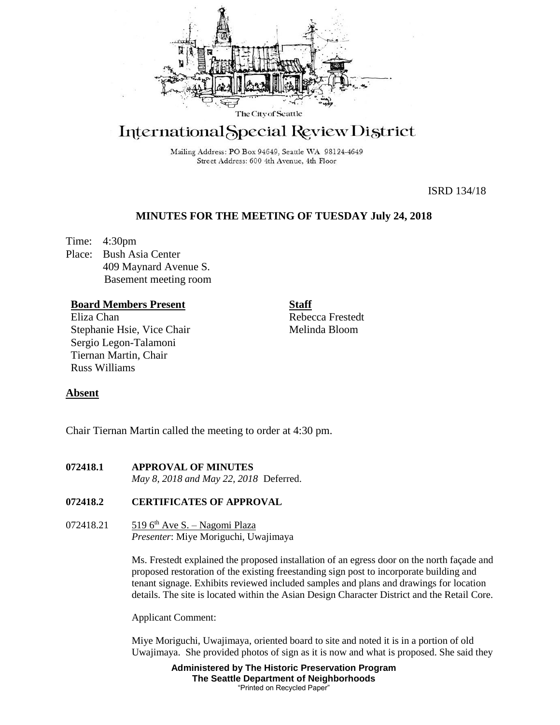

# International Special Review District

Mailing Address: PO Box 94649, Seattle WA 98124-4649 Street Address: 600 4th Avenue, 4th Floor

ISRD 134/18

# **MINUTES FOR THE MEETING OF TUESDAY July 24, 2018**

Time: 4:30pm Place: Bush Asia Center 409 Maynard Avenue S. Basement meeting room

## **Board Members Present**

Eliza Chan Stephanie Hsie, Vice Chair Sergio Legon-Talamoni Tiernan Martin, Chair Russ Williams

Rebecca Frestedt Melinda Bloom

**Staff**

## **Absent**

Chair Tiernan Martin called the meeting to order at 4:30 pm.

**072418.1 APPROVAL OF MINUTES** *May 8, 2018 and May 22, 2018* Deferred.

## **072418.2 CERTIFICATES OF APPROVAL**

072418.21 519 6<sup>th</sup> Ave S. – Nagomi Plaza *Presenter*: Miye Moriguchi, Uwajimaya

> Ms. Frestedt explained the proposed installation of an egress door on the north façade and proposed restoration of the existing freestanding sign post to incorporate building and tenant signage. Exhibits reviewed included samples and plans and drawings for location details. The site is located within the Asian Design Character District and the Retail Core.

Applicant Comment:

Miye Moriguchi, Uwajimaya, oriented board to site and noted it is in a portion of old Uwajimaya. She provided photos of sign as it is now and what is proposed. She said they

> **Administered by The Historic Preservation Program The Seattle Department of Neighborhoods** "Printed on Recycled Paper"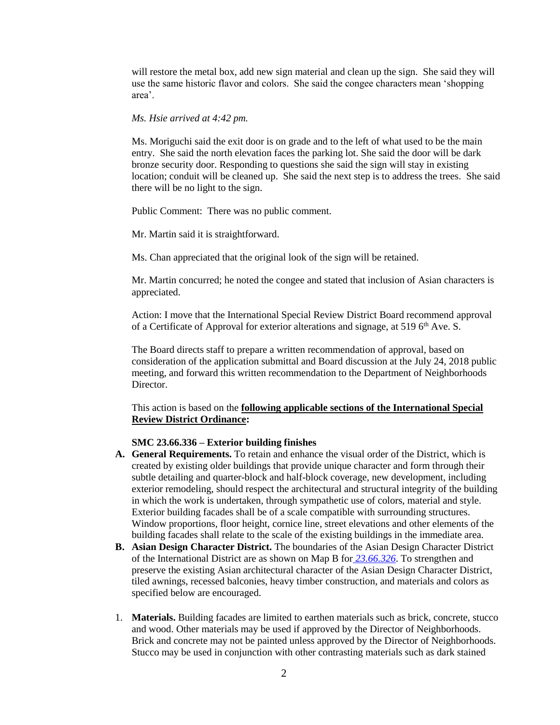will restore the metal box, add new sign material and clean up the sign. She said they will use the same historic flavor and colors. She said the congee characters mean 'shopping area'.

#### *Ms. Hsie arrived at 4:42 pm.*

Ms. Moriguchi said the exit door is on grade and to the left of what used to be the main entry. She said the north elevation faces the parking lot. She said the door will be dark bronze security door. Responding to questions she said the sign will stay in existing location; conduit will be cleaned up. She said the next step is to address the trees. She said there will be no light to the sign.

Public Comment: There was no public comment.

Mr. Martin said it is straightforward.

Ms. Chan appreciated that the original look of the sign will be retained.

Mr. Martin concurred; he noted the congee and stated that inclusion of Asian characters is appreciated.

Action: I move that the International Special Review District Board recommend approval of a Certificate of Approval for exterior alterations and signage, at 519 6<sup>th</sup> Ave. S.

The Board directs staff to prepare a written recommendation of approval, based on consideration of the application submittal and Board discussion at the July 24, 2018 public meeting, and forward this written recommendation to the Department of Neighborhoods Director.

This action is based on the **following applicable sections of the International Special Review District Ordinance:** 

## **SMC 23.66.336 – Exterior building finishes**

- **A. General Requirements.** To retain and enhance the visual order of the District, which is created by existing older buildings that provide unique character and form through their subtle detailing and quarter-block and half-block coverage, new development, including exterior remodeling, should respect the architectural and structural integrity of the building in which the work is undertaken, through sympathetic use of colors, material and style. Exterior building facades shall be of a scale compatible with surrounding structures. Window proportions, floor height, cornice line, street elevations and other elements of the building facades shall relate to the scale of the existing buildings in the immediate area.
- **B. Asian Design Character District.** The boundaries of the Asian Design Character District of the International District are as shown on Map B for *[23.66.326](https://library.municode.com/wa/seattle/codes/municipal_code?nodeId=TIT23LAUSCO_SUBTITLE_IIILAUSRE_CH23.66SPREDI_SUBCHAPTER_IIIINSPREDI_23.66.326STVEUS)*. To strengthen and preserve the existing Asian architectural character of the Asian Design Character District, tiled awnings, recessed balconies, heavy timber construction, and materials and colors as specified below are encouraged.
- 1. **Materials.** Building facades are limited to earthen materials such as brick, concrete, stucco and wood. Other materials may be used if approved by the Director of Neighborhoods. Brick and concrete may not be painted unless approved by the Director of Neighborhoods. Stucco may be used in conjunction with other contrasting materials such as dark stained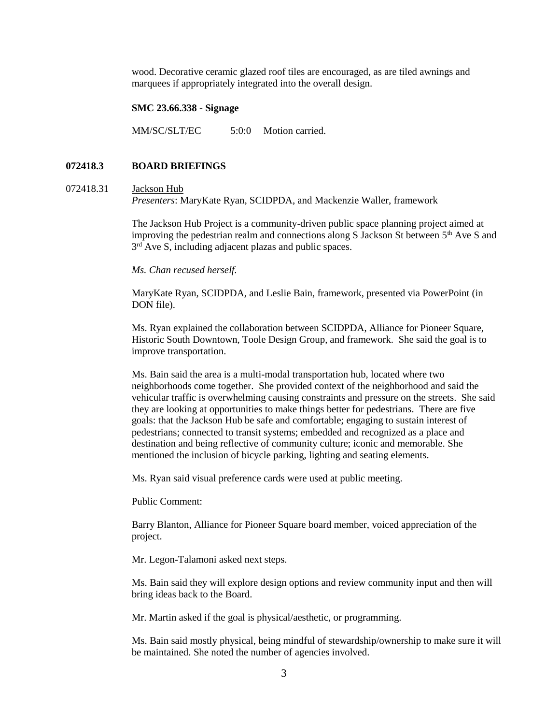wood. Decorative ceramic glazed roof tiles are encouraged, as are tiled awnings and marquees if appropriately integrated into the overall design.

#### **SMC 23.66.338 - Signage**

MM/SC/SLT/EC 5:0:0 Motion carried.

## **072418.3 BOARD BRIEFINGS**

#### 072418.31 Jackson Hub

*Presenters*: MaryKate Ryan, SCIDPDA, and Mackenzie Waller, framework

The Jackson Hub Project is a community-driven public space planning project aimed at improving the pedestrian realm and connections along S Jackson St between  $5<sup>th</sup>$  Ave S and  $3<sup>rd</sup>$  Ave S, including adjacent plazas and public spaces.

#### *Ms. Chan recused herself.*

MaryKate Ryan, SCIDPDA, and Leslie Bain, framework, presented via PowerPoint (in DON file).

Ms. Ryan explained the collaboration between SCIDPDA, Alliance for Pioneer Square, Historic South Downtown, Toole Design Group, and framework. She said the goal is to improve transportation.

Ms. Bain said the area is a multi-modal transportation hub, located where two neighborhoods come together. She provided context of the neighborhood and said the vehicular traffic is overwhelming causing constraints and pressure on the streets. She said they are looking at opportunities to make things better for pedestrians. There are five goals: that the Jackson Hub be safe and comfortable; engaging to sustain interest of pedestrians; connected to transit systems; embedded and recognized as a place and destination and being reflective of community culture; iconic and memorable. She mentioned the inclusion of bicycle parking, lighting and seating elements.

Ms. Ryan said visual preference cards were used at public meeting.

Public Comment:

Barry Blanton, Alliance for Pioneer Square board member, voiced appreciation of the project.

Mr. Legon-Talamoni asked next steps.

Ms. Bain said they will explore design options and review community input and then will bring ideas back to the Board.

Mr. Martin asked if the goal is physical/aesthetic, or programming.

Ms. Bain said mostly physical, being mindful of stewardship/ownership to make sure it will be maintained. She noted the number of agencies involved.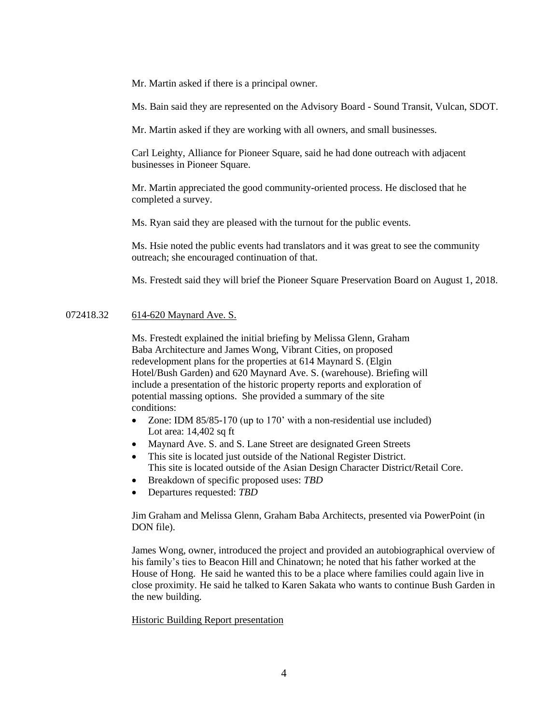Mr. Martin asked if there is a principal owner.

Ms. Bain said they are represented on the Advisory Board - Sound Transit, Vulcan, SDOT.

Mr. Martin asked if they are working with all owners, and small businesses.

Carl Leighty, Alliance for Pioneer Square, said he had done outreach with adjacent businesses in Pioneer Square.

Mr. Martin appreciated the good community-oriented process. He disclosed that he completed a survey.

Ms. Ryan said they are pleased with the turnout for the public events.

Ms. Hsie noted the public events had translators and it was great to see the community outreach; she encouraged continuation of that.

Ms. Frestedt said they will brief the Pioneer Square Preservation Board on August 1, 2018.

## 072418.32 614-620 Maynard Ave. S.

Ms. Frestedt explained the initial briefing by Melissa Glenn, Graham Baba Architecture and James Wong, Vibrant Cities, on proposed redevelopment plans for the properties at 614 Maynard S. (Elgin Hotel/Bush Garden) and 620 Maynard Ave. S. (warehouse). Briefing will include a presentation of the historic property reports and exploration of potential massing options. She provided a summary of the site conditions:

- Zone: IDM 85/85-170 (up to 170' with a non-residential use included) Lot area: 14,402 sq ft
- Maynard Ave. S. and S. Lane Street are designated Green Streets
- This site is located just outside of the National Register District. This site is located outside of the Asian Design Character District/Retail Core.
- Breakdown of specific proposed uses: *TBD*
- Departures requested: *TBD*

Jim Graham and Melissa Glenn, Graham Baba Architects, presented via PowerPoint (in DON file).

James Wong, owner, introduced the project and provided an autobiographical overview of his family's ties to Beacon Hill and Chinatown; he noted that his father worked at the House of Hong. He said he wanted this to be a place where families could again live in close proximity. He said he talked to Karen Sakata who wants to continue Bush Garden in the new building.

### Historic Building Report presentation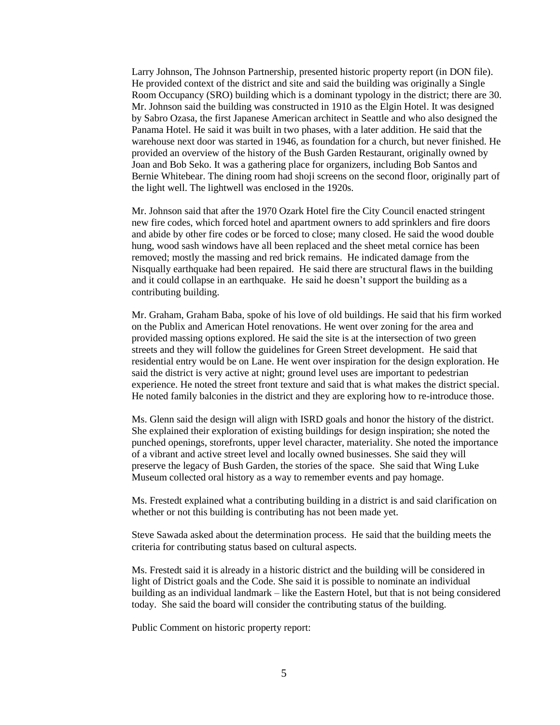Larry Johnson, The Johnson Partnership, presented historic property report (in DON file). He provided context of the district and site and said the building was originally a Single Room Occupancy (SRO) building which is a dominant typology in the district; there are 30. Mr. Johnson said the building was constructed in 1910 as the Elgin Hotel. It was designed by Sabro Ozasa, the first Japanese American architect in Seattle and who also designed the Panama Hotel. He said it was built in two phases, with a later addition. He said that the warehouse next door was started in 1946, as foundation for a church, but never finished. He provided an overview of the history of the Bush Garden Restaurant, originally owned by Joan and Bob Seko. It was a gathering place for organizers, including Bob Santos and Bernie Whitebear. The dining room had shoji screens on the second floor, originally part of the light well. The lightwell was enclosed in the 1920s.

Mr. Johnson said that after the 1970 Ozark Hotel fire the City Council enacted stringent new fire codes, which forced hotel and apartment owners to add sprinklers and fire doors and abide by other fire codes or be forced to close; many closed. He said the wood double hung, wood sash windows have all been replaced and the sheet metal cornice has been removed; mostly the massing and red brick remains. He indicated damage from the Nisqually earthquake had been repaired. He said there are structural flaws in the building and it could collapse in an earthquake. He said he doesn't support the building as a contributing building.

Mr. Graham, Graham Baba, spoke of his love of old buildings. He said that his firm worked on the Publix and American Hotel renovations. He went over zoning for the area and provided massing options explored. He said the site is at the intersection of two green streets and they will follow the guidelines for Green Street development. He said that residential entry would be on Lane. He went over inspiration for the design exploration. He said the district is very active at night; ground level uses are important to pedestrian experience. He noted the street front texture and said that is what makes the district special. He noted family balconies in the district and they are exploring how to re-introduce those.

Ms. Glenn said the design will align with ISRD goals and honor the history of the district. She explained their exploration of existing buildings for design inspiration; she noted the punched openings, storefronts, upper level character, materiality. She noted the importance of a vibrant and active street level and locally owned businesses. She said they will preserve the legacy of Bush Garden, the stories of the space. She said that Wing Luke Museum collected oral history as a way to remember events and pay homage.

Ms. Frestedt explained what a contributing building in a district is and said clarification on whether or not this building is contributing has not been made yet.

Steve Sawada asked about the determination process. He said that the building meets the criteria for contributing status based on cultural aspects.

Ms. Frestedt said it is already in a historic district and the building will be considered in light of District goals and the Code. She said it is possible to nominate an individual building as an individual landmark – like the Eastern Hotel, but that is not being considered today. She said the board will consider the contributing status of the building.

Public Comment on historic property report: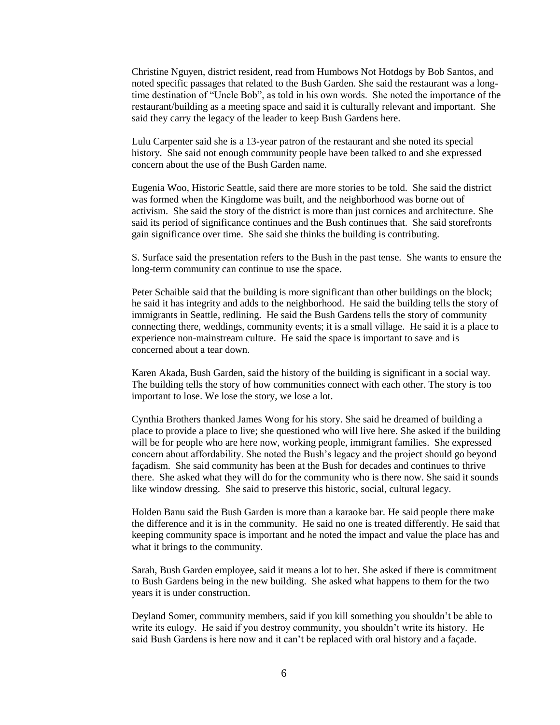Christine Nguyen, district resident, read from Humbows Not Hotdogs by Bob Santos, and noted specific passages that related to the Bush Garden. She said the restaurant was a longtime destination of "Uncle Bob", as told in his own words. She noted the importance of the restaurant/building as a meeting space and said it is culturally relevant and important. She said they carry the legacy of the leader to keep Bush Gardens here.

Lulu Carpenter said she is a 13-year patron of the restaurant and she noted its special history. She said not enough community people have been talked to and she expressed concern about the use of the Bush Garden name.

Eugenia Woo, Historic Seattle, said there are more stories to be told. She said the district was formed when the Kingdome was built, and the neighborhood was borne out of activism. She said the story of the district is more than just cornices and architecture. She said its period of significance continues and the Bush continues that. She said storefronts gain significance over time. She said she thinks the building is contributing.

S. Surface said the presentation refers to the Bush in the past tense. She wants to ensure the long-term community can continue to use the space.

Peter Schaible said that the building is more significant than other buildings on the block; he said it has integrity and adds to the neighborhood. He said the building tells the story of immigrants in Seattle, redlining. He said the Bush Gardens tells the story of community connecting there, weddings, community events; it is a small village. He said it is a place to experience non-mainstream culture. He said the space is important to save and is concerned about a tear down.

Karen Akada, Bush Garden, said the history of the building is significant in a social way. The building tells the story of how communities connect with each other. The story is too important to lose. We lose the story, we lose a lot.

Cynthia Brothers thanked James Wong for his story. She said he dreamed of building a place to provide a place to live; she questioned who will live here. She asked if the building will be for people who are here now, working people, immigrant families. She expressed concern about affordability. She noted the Bush's legacy and the project should go beyond façadism. She said community has been at the Bush for decades and continues to thrive there. She asked what they will do for the community who is there now. She said it sounds like window dressing. She said to preserve this historic, social, cultural legacy.

Holden Banu said the Bush Garden is more than a karaoke bar. He said people there make the difference and it is in the community. He said no one is treated differently. He said that keeping community space is important and he noted the impact and value the place has and what it brings to the community.

Sarah, Bush Garden employee, said it means a lot to her. She asked if there is commitment to Bush Gardens being in the new building. She asked what happens to them for the two years it is under construction.

Deyland Somer, community members, said if you kill something you shouldn't be able to write its eulogy. He said if you destroy community, you shouldn't write its history. He said Bush Gardens is here now and it can't be replaced with oral history and a façade.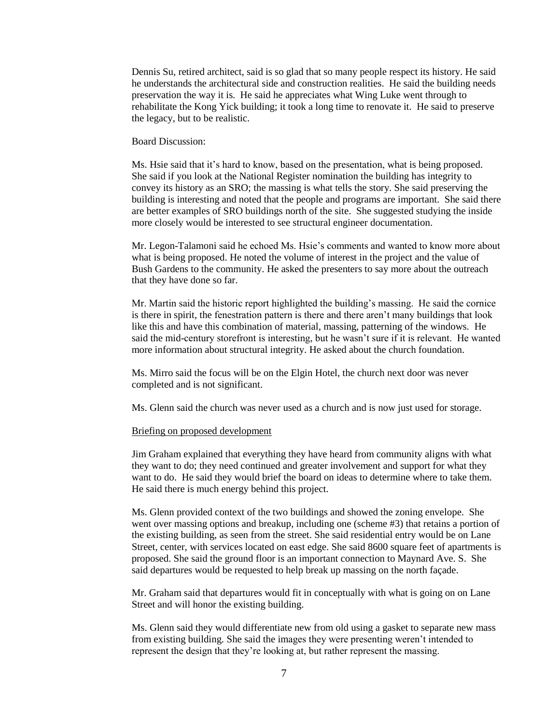Dennis Su, retired architect, said is so glad that so many people respect its history. He said he understands the architectural side and construction realities. He said the building needs preservation the way it is. He said he appreciates what Wing Luke went through to rehabilitate the Kong Yick building; it took a long time to renovate it. He said to preserve the legacy, but to be realistic.

## Board Discussion:

Ms. Hsie said that it's hard to know, based on the presentation, what is being proposed. She said if you look at the National Register nomination the building has integrity to convey its history as an SRO; the massing is what tells the story. She said preserving the building is interesting and noted that the people and programs are important. She said there are better examples of SRO buildings north of the site. She suggested studying the inside more closely would be interested to see structural engineer documentation.

Mr. Legon-Talamoni said he echoed Ms. Hsie's comments and wanted to know more about what is being proposed. He noted the volume of interest in the project and the value of Bush Gardens to the community. He asked the presenters to say more about the outreach that they have done so far.

Mr. Martin said the historic report highlighted the building's massing. He said the cornice is there in spirit, the fenestration pattern is there and there aren't many buildings that look like this and have this combination of material, massing, patterning of the windows. He said the mid-century storefront is interesting, but he wasn't sure if it is relevant. He wanted more information about structural integrity. He asked about the church foundation.

Ms. Mirro said the focus will be on the Elgin Hotel, the church next door was never completed and is not significant.

Ms. Glenn said the church was never used as a church and is now just used for storage.

#### Briefing on proposed development

Jim Graham explained that everything they have heard from community aligns with what they want to do; they need continued and greater involvement and support for what they want to do. He said they would brief the board on ideas to determine where to take them. He said there is much energy behind this project.

Ms. Glenn provided context of the two buildings and showed the zoning envelope. She went over massing options and breakup, including one (scheme #3) that retains a portion of the existing building, as seen from the street. She said residential entry would be on Lane Street, center, with services located on east edge. She said 8600 square feet of apartments is proposed. She said the ground floor is an important connection to Maynard Ave. S. She said departures would be requested to help break up massing on the north façade.

Mr. Graham said that departures would fit in conceptually with what is going on on Lane Street and will honor the existing building.

Ms. Glenn said they would differentiate new from old using a gasket to separate new mass from existing building. She said the images they were presenting weren't intended to represent the design that they're looking at, but rather represent the massing.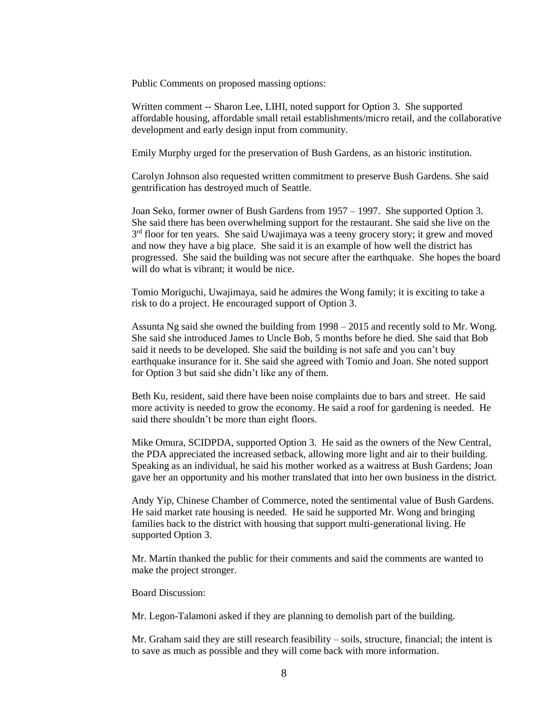Public Comments on proposed massing options:

Written comment -- Sharon Lee, LIHI, noted support for Option 3. She supported affordable housing, affordable small retail establishments/micro retail, and the collaborative development and early design input from community.

Emily Murphy urged for the preservation of Bush Gardens, as an historic institution.

Carolyn Johnson also requested written commitment to preserve Bush Gardens. She said gentrification has destroyed much of Seattle.

Joan Seko, former owner of Bush Gardens from 1957 – 1997. She supported Option 3. She said there has been overwhelming support for the restaurant. She said she live on the 3<sup>rd</sup> floor for ten years. She said Uwajimaya was a teeny grocery story; it grew and moved and now they have a big place. She said it is an example of how well the district has progressed. She said the building was not secure after the earthquake. She hopes the board will do what is vibrant; it would be nice.

Tomio Moriguchi, Uwajimaya, said he admires the Wong family; it is exciting to take a risk to do a project. He encouraged support of Option 3.

Assunta Ng said she owned the building from 1998 – 2015 and recently sold to Mr. Wong. She said she introduced James to Uncle Bob, 5 months before he died. She said that Bob said it needs to be developed. She said the building is not safe and you can't buy earthquake insurance for it. She said she agreed with Tomio and Joan. She noted support for Option 3 but said she didn't like any of them.

Beth Ku, resident, said there have been noise complaints due to bars and street. He said more activity is needed to grow the economy. He said a roof for gardening is needed. He said there shouldn't be more than eight floors.

Mike Omura, SCIDPDA, supported Option 3. He said as the owners of the New Central, the PDA appreciated the increased setback, allowing more light and air to their building. Speaking as an individual, he said his mother worked as a waitress at Bush Gardens; Joan gave her an opportunity and his mother translated that into her own business in the district.

Andy Yip, Chinese Chamber of Commerce, noted the sentimental value of Bush Gardens. He said market rate housing is needed. He said he supported Mr. Wong and bringing families back to the district with housing that support multi-generational living. He supported Option 3.

Mr. Martin thanked the public for their comments and said the comments are wanted to make the project stronger.

Board Discussion:

Mr. Legon-Talamoni asked if they are planning to demolish part of the building.

Mr. Graham said they are still research feasibility – soils, structure, financial; the intent is to save as much as possible and they will come back with more information.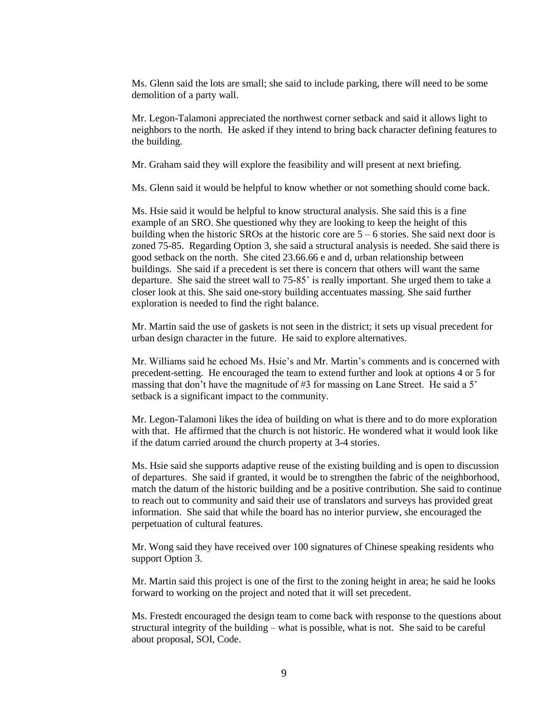Ms. Glenn said the lots are small; she said to include parking, there will need to be some demolition of a party wall.

Mr. Legon-Talamoni appreciated the northwest corner setback and said it allows light to neighbors to the north. He asked if they intend to bring back character defining features to the building.

Mr. Graham said they will explore the feasibility and will present at next briefing.

Ms. Glenn said it would be helpful to know whether or not something should come back.

Ms. Hsie said it would be helpful to know structural analysis. She said this is a fine example of an SRO. She questioned why they are looking to keep the height of this building when the historic SROs at the historic core are  $5 - 6$  stories. She said next door is zoned 75-85. Regarding Option 3, she said a structural analysis is needed. She said there is good setback on the north. She cited 23.66.66 e and d, urban relationship between buildings. She said if a precedent is set there is concern that others will want the same departure. She said the street wall to 75-85' is really important. She urged them to take a closer look at this. She said one-story building accentuates massing. She said further exploration is needed to find the right balance.

Mr. Martin said the use of gaskets is not seen in the district; it sets up visual precedent for urban design character in the future. He said to explore alternatives.

Mr. Williams said he echoed Ms. Hsie's and Mr. Martin's comments and is concerned with precedent-setting. He encouraged the team to extend further and look at options 4 or 5 for massing that don't have the magnitude of #3 for massing on Lane Street. He said a 5' setback is a significant impact to the community.

Mr. Legon-Talamoni likes the idea of building on what is there and to do more exploration with that. He affirmed that the church is not historic. He wondered what it would look like if the datum carried around the church property at 3-4 stories.

Ms. Hsie said she supports adaptive reuse of the existing building and is open to discussion of departures. She said if granted, it would be to strengthen the fabric of the neighborhood, match the datum of the historic building and be a positive contribution. She said to continue to reach out to community and said their use of translators and surveys has provided great information. She said that while the board has no interior purview, she encouraged the perpetuation of cultural features.

Mr. Wong said they have received over 100 signatures of Chinese speaking residents who support Option 3.

Mr. Martin said this project is one of the first to the zoning height in area; he said he looks forward to working on the project and noted that it will set precedent.

Ms. Frestedt encouraged the design team to come back with response to the questions about structural integrity of the building – what is possible, what is not. She said to be careful about proposal, SOI, Code.